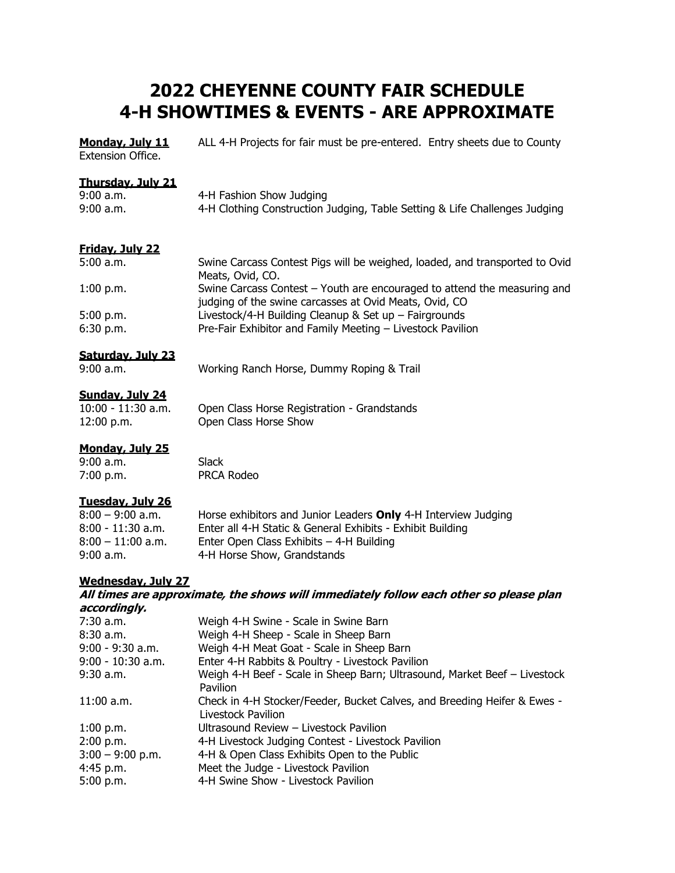# **2022 CHEYENNE COUNTY FAIR SCHEDULE 4-H SHOWTIMES & EVENTS - ARE APPROXIMATE**

**Monday, July 11** ALL 4-H Projects for fair must be pre-entered. Entry sheets due to County Extension Office.

# **Thursday, July 21**

| 9:00 a.m. | 4-H Fashion Show Judging                                                   |
|-----------|----------------------------------------------------------------------------|
| 9:00 a.m. | 4-H Clothing Construction Judging, Table Setting & Life Challenges Judging |

### **Friday, July 22**

| $5:00$ a.m. | Swine Carcass Contest Pigs will be weighed, loaded, and transported to Ovid |
|-------------|-----------------------------------------------------------------------------|
|             | Meats, Ovid, CO.                                                            |
| $1:00$ p.m. | Swine Carcass Contest – Youth are encouraged to attend the measuring and    |
|             | judging of the swine carcasses at Ovid Meats, Ovid, CO                      |
| 5:00 p.m.   | Livestock/4-H Building Cleanup & Set up $-$ Fairgrounds                     |
| 6:30 p.m.   | Pre-Fair Exhibitor and Family Meeting - Livestock Pavilion                  |
|             |                                                                             |

# **Saturday, July 23**

9:00 a.m. Working Ranch Horse, Dummy Roping & Trail

## **Sunday, July 24**

| $10:00 - 11:30$ a.m. | Open Class Horse Registration - Grandstands |
|----------------------|---------------------------------------------|
| 12:00 p.m.           | Open Class Horse Show                       |

### **Monday, July 25**

9:00 a.m. Slack 7:00 p.m. PRCA Rodeo

### **Tuesday, July 26**

| $8:00 - 9:00$ a.m.  | Horse exhibitors and Junior Leaders Only 4-H Interview Judging |
|---------------------|----------------------------------------------------------------|
| $8:00 - 11:30$ a.m. | Enter all 4-H Static & General Exhibits - Exhibit Building     |
| $8:00 - 11:00$ a.m. | Enter Open Class Exhibits $-$ 4-H Building                     |
| 9:00 a.m.           | 4-H Horse Show, Grandstands                                    |

### **Wednesday, July 27**

**All times are approximate, the shows will immediately follow each other so please plan accordingly.**

| 7:30 a.m.           | Weigh 4-H Swine - Scale in Swine Barn                                                          |
|---------------------|------------------------------------------------------------------------------------------------|
| $8:30$ a.m.         | Weigh 4-H Sheep - Scale in Sheep Barn                                                          |
| $9:00 - 9:30$ a.m.  | Weigh 4-H Meat Goat - Scale in Sheep Barn                                                      |
| $9:00 - 10:30$ a.m. | Enter 4-H Rabbits & Poultry - Livestock Pavilion                                               |
| $9:30$ a.m.         | Weigh 4-H Beef - Scale in Sheep Barn; Ultrasound, Market Beef - Livestock<br><b>Pavilion</b>   |
| $11:00$ a.m.        | Check in 4-H Stocker/Feeder, Bucket Calves, and Breeding Heifer & Ewes -<br>Livestock Pavilion |
| $1:00$ p.m.         | Ultrasound Review - Livestock Pavilion                                                         |
| 2:00 p.m.           | 4-H Livestock Judging Contest - Livestock Pavilion                                             |
| $3:00 - 9:00$ p.m.  | 4-H & Open Class Exhibits Open to the Public                                                   |
| $4:45$ p.m.         | Meet the Judge - Livestock Pavilion                                                            |
| 5:00 p.m.           | 4-H Swine Show - Livestock Pavilion                                                            |
|                     |                                                                                                |